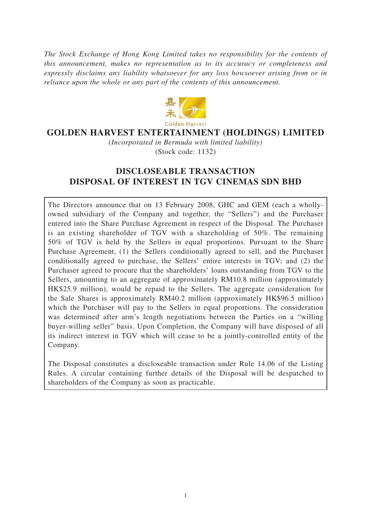*The Stock Exchange of Hong Kong Limited takes no responsibility for the contents of this announcement, makes no representation as to its accuracy or completeness and expressly disclaims any liability whatsoever for any loss howsoever arising from or in reliance upon the whole or any part of the contents of this announcement.*



### **GOLDEN HARVEST ENTERTAINMENT (HOLDINGS) LIMITED**

*(Incorporated in Bermuda with limited liability)* (Stock code: 1132)

## **DISCLOSEABLE TRANSACTION DISPOSAL OF INTEREST IN TGV CINEMAS SDN BHD**

The Directors announce that on 13 February 2008, GHC and GEM (each a whollyowned subsidiary of the Company and together, the "Sellers") and the Purchaser entered into the Share Purchase Agreement in respect of the Disposal. The Purchaser is an existing shareholder of TGV with a shareholding of 50%. The remaining 50% of TGV is held by the Sellers in equal proportions. Pursuant to the Share Purchase Agreement, (1) the Sellers conditionally agreed to sell, and the Purchaser conditionally agreed to purchase, the Sellers' entire interests in TGV; and (2) the Purchaser agreed to procure that the shareholders' loans outstanding from TGV to the Sellers, amounting to an aggregate of approximately RM10.8 million (approximately HK\$25.9 million), would be repaid to the Sellers. The aggregate consideration for the Sale Shares is approximately RM40.2 million (approximately HK\$96.5 million) which the Purchaser will pay to the Sellers in equal proportions. The consideration was determined after arm's length negotiations between the Parties on a "willing buyer-willing seller" basis. Upon Completion, the Company will have disposed of all its indirect interest in TGV which will cease to be a jointly-controlled entity of the Company.

The Disposal constitutes a discloseable transaction under Rule 14.06 of the Listing Rules. A circular containing further details of the Disposal will be despatched to shareholders of the Company as soon as practicable.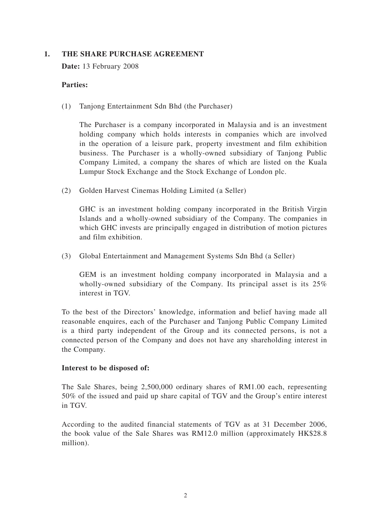#### **1. THE SHARE PURCHASE AGREEMENT**

**Date:** 13 February 2008

#### **Parties:**

(1) Tanjong Entertainment Sdn Bhd (the Purchaser)

The Purchaser is a company incorporated in Malaysia and is an investment holding company which holds interests in companies which are involved in the operation of a leisure park, property investment and film exhibition business. The Purchaser is a wholly-owned subsidiary of Tanjong Public Company Limited, a company the shares of which are listed on the Kuala Lumpur Stock Exchange and the Stock Exchange of London plc.

(2) Golden Harvest Cinemas Holding Limited (a Seller)

GHC is an investment holding company incorporated in the British Virgin Islands and a wholly-owned subsidiary of the Company. The companies in which GHC invests are principally engaged in distribution of motion pictures and film exhibition.

(3) Global Entertainment and Management Systems Sdn Bhd (a Seller)

GEM is an investment holding company incorporated in Malaysia and a wholly-owned subsidiary of the Company. Its principal asset is its 25% interest in TGV.

To the best of the Directors' knowledge, information and belief having made all reasonable enquires, each of the Purchaser and Tanjong Public Company Limited is a third party independent of the Group and its connected persons, is not a connected person of the Company and does not have any shareholding interest in the Company.

#### **Interest to be disposed of:**

The Sale Shares, being 2,500,000 ordinary shares of RM1.00 each, representing 50% of the issued and paid up share capital of TGV and the Group's entire interest in TGV.

According to the audited financial statements of TGV as at 31 December 2006, the book value of the Sale Shares was RM12.0 million (approximately HK\$28.8 million).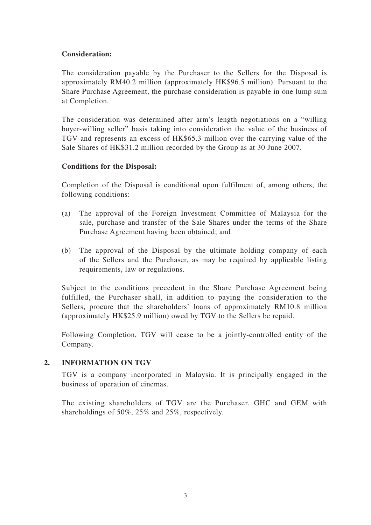#### **Consideration:**

The consideration payable by the Purchaser to the Sellers for the Disposal is approximately RM40.2 million (approximately HK\$96.5 million). Pursuant to the Share Purchase Agreement, the purchase consideration is payable in one lump sum at Completion.

The consideration was determined after arm's length negotiations on a "willing buyer-willing seller" basis taking into consideration the value of the business of TGV and represents an excess of HK\$65.3 million over the carrying value of the Sale Shares of HK\$31.2 million recorded by the Group as at 30 June 2007.

#### **Conditions for the Disposal:**

Completion of the Disposal is conditional upon fulfilment of, among others, the following conditions:

- (a) The approval of the Foreign Investment Committee of Malaysia for the sale, purchase and transfer of the Sale Shares under the terms of the Share Purchase Agreement having been obtained; and
- (b) The approval of the Disposal by the ultimate holding company of each of the Sellers and the Purchaser, as may be required by applicable listing requirements, law or regulations.

Subject to the conditions precedent in the Share Purchase Agreement being fulfilled, the Purchaser shall, in addition to paying the consideration to the Sellers, procure that the shareholders' loans of approximately RM10.8 million (approximately HK\$25.9 million) owed by TGV to the Sellers be repaid.

Following Completion, TGV will cease to be a jointly-controlled entity of the Company.

#### **2. INFORMATION ON TGV**

TGV is a company incorporated in Malaysia. It is principally engaged in the business of operation of cinemas.

The existing shareholders of TGV are the Purchaser, GHC and GEM with shareholdings of 50%, 25% and 25%, respectively.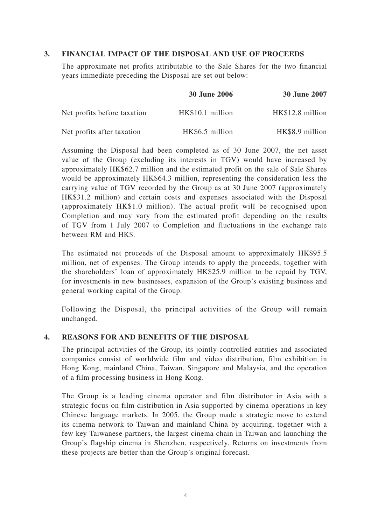#### **3. FINANCIAL IMPACT OF THE DISPOSAL AND USE OF PROCEEDS**

The approximate net profits attributable to the Sale Shares for the two financial years immediate preceding the Disposal are set out below:

|                             | <b>30 June 2006</b> | <b>30 June 2007</b> |
|-----------------------------|---------------------|---------------------|
| Net profits before taxation | HK\$10.1 million    | HK\$12.8 million    |
| Net profits after taxation  | HK\$6.5 million     | HK\$8.9 million     |

Assuming the Disposal had been completed as of 30 June 2007, the net asset value of the Group (excluding its interests in TGV) would have increased by approximately HK\$62.7 million and the estimated profit on the sale of Sale Shares would be approximately HK\$64.3 million, representing the consideration less the carrying value of TGV recorded by the Group as at 30 June 2007 (approximately HK\$31.2 million) and certain costs and expenses associated with the Disposal (approximately HK\$1.0 million). The actual profit will be recognised upon Completion and may vary from the estimated profit depending on the results of TGV from 1 July 2007 to Completion and fluctuations in the exchange rate between RM and HK\$.

The estimated net proceeds of the Disposal amount to approximately HK\$95.5 million, net of expenses. The Group intends to apply the proceeds, together with the shareholders' loan of approximately HK\$25.9 million to be repaid by TGV, for investments in new businesses, expansion of the Group's existing business and general working capital of the Group.

Following the Disposal, the principal activities of the Group will remain unchanged.

#### **4. REASONS FOR AND BENEFITS OF THE DISPOSAL**

The principal activities of the Group, its jointly-controlled entities and associated companies consist of worldwide film and video distribution, film exhibition in Hong Kong, mainland China, Taiwan, Singapore and Malaysia, and the operation of a film processing business in Hong Kong.

The Group is a leading cinema operator and film distributor in Asia with a strategic focus on film distribution in Asia supported by cinema operations in key Chinese language markets. In 2005, the Group made a strategic move to extend its cinema network to Taiwan and mainland China by acquiring, together with a few key Taiwanese partners, the largest cinema chain in Taiwan and launching the Group's flagship cinema in Shenzhen, respectively. Returns on investments from these projects are better than the Group's original forecast.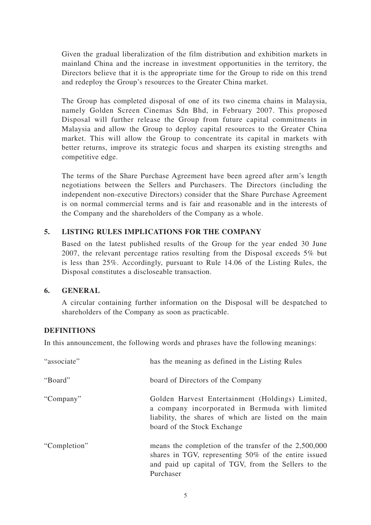Given the gradual liberalization of the film distribution and exhibition markets in mainland China and the increase in investment opportunities in the territory, the Directors believe that it is the appropriate time for the Group to ride on this trend and redeploy the Group's resources to the Greater China market.

The Group has completed disposal of one of its two cinema chains in Malaysia, namely Golden Screen Cinemas Sdn Bhd, in February 2007. This proposed Disposal will further release the Group from future capital commitments in Malaysia and allow the Group to deploy capital resources to the Greater China market. This will allow the Group to concentrate its capital in markets with better returns, improve its strategic focus and sharpen its existing strengths and competitive edge.

The terms of the Share Purchase Agreement have been agreed after arm's length negotiations between the Sellers and Purchasers. The Directors (including the independent non-executive Directors) consider that the Share Purchase Agreement is on normal commercial terms and is fair and reasonable and in the interests of the Company and the shareholders of the Company as a whole.

#### **5. LISTING RULES IMPLICATIONS FOR THE COMPANY**

Based on the latest published results of the Group for the year ended 30 June 2007, the relevant percentage ratios resulting from the Disposal exceeds 5% but is less than 25%. Accordingly, pursuant to Rule 14.06 of the Listing Rules, the Disposal constitutes a discloseable transaction.

#### **6. GENERAL**

A circular containing further information on the Disposal will be despatched to shareholders of the Company as soon as practicable.

#### **DEFINITIONS**

In this announcement, the following words and phrases have the following meanings:

| "associate"  | has the meaning as defined in the Listing Rules                                                                                                                                            |
|--------------|--------------------------------------------------------------------------------------------------------------------------------------------------------------------------------------------|
| "Board"      | board of Directors of the Company                                                                                                                                                          |
| "Company"    | Golden Harvest Entertainment (Holdings) Limited,<br>a company incorporated in Bermuda with limited<br>liability, the shares of which are listed on the main<br>board of the Stock Exchange |
| "Completion" | means the completion of the transfer of the 2,500,000<br>shares in TGV, representing 50% of the entire issued<br>and paid up capital of TGV, from the Sellers to the<br>Purchaser          |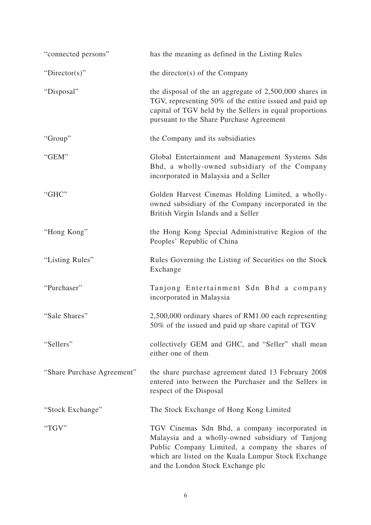| "connected persons"        | has the meaning as defined in the Listing Rules                                                                                                                                                                                                    |  |
|----------------------------|----------------------------------------------------------------------------------------------------------------------------------------------------------------------------------------------------------------------------------------------------|--|
| "Director(s)"              | the director(s) of the Company                                                                                                                                                                                                                     |  |
| "Disposal"                 | the disposal of the an aggregate of $2,500,000$ shares in<br>TGV, representing 50% of the entire issued and paid up<br>capital of TGV held by the Sellers in equal proportions<br>pursuant to the Share Purchase Agreement                         |  |
| "Group"                    | the Company and its subsidiaries                                                                                                                                                                                                                   |  |
| "GEM"                      | Global Entertainment and Management Systems Sdn<br>Bhd, a wholly-owned subsidiary of the Company<br>incorporated in Malaysia and a Seller                                                                                                          |  |
| "GHC"                      | Golden Harvest Cinemas Holding Limited, a wholly-<br>owned subsidiary of the Company incorporated in the<br>British Virgin Islands and a Seller                                                                                                    |  |
| "Hong Kong"                | the Hong Kong Special Administrative Region of the<br>Peoples' Republic of China                                                                                                                                                                   |  |
| "Listing Rules"            | Rules Governing the Listing of Securities on the Stock<br>Exchange                                                                                                                                                                                 |  |
| "Purchaser"                | Tanjong Entertainment Sdn Bhd a company<br>incorporated in Malaysia                                                                                                                                                                                |  |
| "Sale Shares"              | 2,500,000 ordinary shares of RM1.00 each representing<br>50% of the issued and paid up share capital of TGV                                                                                                                                        |  |
| "Sellers"                  | collectively GEM and GHC, and "Seller" shall mean<br>either one of them                                                                                                                                                                            |  |
| "Share Purchase Agreement" | the share purchase agreement dated 13 February 2008<br>entered into between the Purchaser and the Sellers in<br>respect of the Disposal                                                                                                            |  |
| "Stock Exchange"           | The Stock Exchange of Hong Kong Limited                                                                                                                                                                                                            |  |
| "TGV"                      | TGV Cinemas Sdn Bhd, a company incorporated in<br>Malaysia and a wholly-owned subsidiary of Tanjong<br>Public Company Limited, a company the shares of<br>which are listed on the Kuala Lumpur Stock Exchange<br>and the London Stock Exchange plc |  |